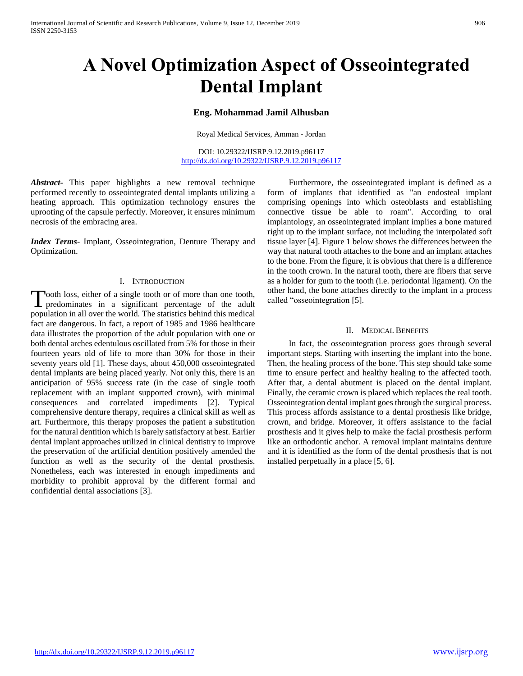# **A Novel Optimization Aspect of Osseointegrated Dental Implant**

# **Eng. Mohammad Jamil Alhusban**

Royal Medical Services, Amman - Jordan

DOI: 10.29322/IJSRP.9.12.2019.p96117 <http://dx.doi.org/10.29322/IJSRP.9.12.2019.p96117>

*Abstract***-** This paper highlights a new removal technique performed recently to osseointegrated dental implants utilizing a heating approach. This optimization technology ensures the uprooting of the capsule perfectly. Moreover, it ensures minimum necrosis of the embracing area.

*Index Terms*- Implant, Osseointegration, Denture Therapy and Optimization.

# I. INTRODUCTION

Tooth loss, either of a single tooth or of more than one tooth, Tooth loss, either of a single tooth or of more than one tooth,<br>predominates in a significant percentage of the adult population in all over the world. The statistics behind this medical fact are dangerous. In fact, a report of 1985 and 1986 healthcare data illustrates the proportion of the adult population with one or both dental arches edentulous oscillated from 5% for those in their fourteen years old of life to more than 30% for those in their seventy years old [1]. These days, about 450,000 osseointegrated dental implants are being placed yearly. Not only this, there is an anticipation of 95% success rate (in the case of single tooth replacement with an implant supported crown), with minimal consequences and correlated impediments [2]. Typical comprehensive denture therapy, requires a clinical skill as well as art. Furthermore, this therapy proposes the patient a substitution for the natural dentition which is barely satisfactory at best. Earlier dental implant approaches utilized in clinical dentistry to improve the preservation of the artificial dentition positively amended the function as well as the security of the dental prosthesis. Nonetheless, each was interested in enough impediments and morbidity to prohibit approval by the different formal and confidential dental associations [3].

 Furthermore, the osseointegrated implant is defined as a form of implants that identified as "an endosteal implant comprising openings into which osteoblasts and establishing connective tissue be able to roam". According to oral implantology, an osseointegrated implant implies a bone matured right up to the implant surface, not including the interpolated soft tissue layer [4]. Figure 1 below shows the differences between the way that natural tooth attaches to the bone and an implant attaches to the bone. From the figure, it is obvious that there is a difference in the tooth crown. In the natural tooth, there are fibers that serve as a holder for gum to the tooth (i.e. periodontal ligament). On the other hand, the bone attaches directly to the implant in a process called "osseointegration [5].

## II. MEDICAL BENEFITS

 In fact, the osseointegration process goes through several important steps. Starting with inserting the implant into the bone. Then, the healing process of the bone. This step should take some time to ensure perfect and healthy healing to the affected tooth. After that, a dental abutment is placed on the dental implant. Finally, the ceramic crown is placed which replaces the real tooth. Osseointegration dental implant goes through the surgical process. This process affords assistance to a dental prosthesis like bridge, crown, and bridge. Moreover, it offers assistance to the facial prosthesis and it gives help to make the facial prosthesis perform like an orthodontic anchor. A removal implant maintains denture and it is identified as the form of the dental prosthesis that is not installed perpetually in a place [5, 6].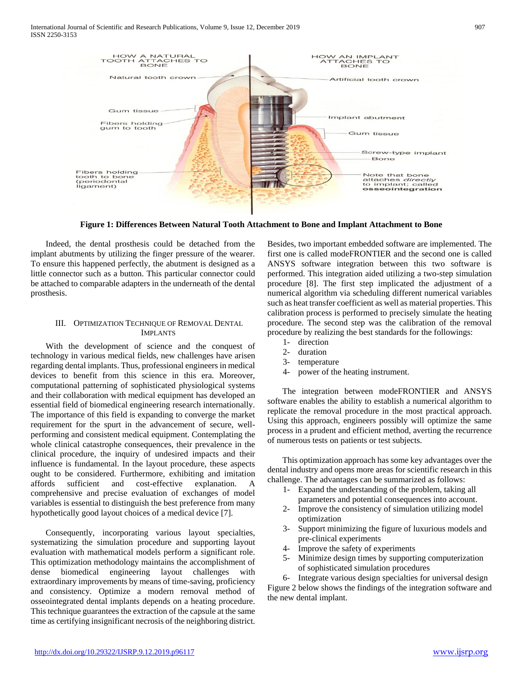

**Figure 1: Differences Between Natural Tooth Attachment to Bone and Implant Attachment to Bone**

 Indeed, the dental prosthesis could be detached from the implant abutments by utilizing the finger pressure of the wearer. To ensure this happened perfectly, the abutment is designed as a little connector such as a button. This particular connector could be attached to comparable adapters in the underneath of the dental prosthesis.

# III. OPTIMIZATION TECHNIQUE OF REMOVAL DENTAL IMPLANTS

 With the development of science and the conquest of technology in various medical fields, new challenges have arisen regarding dental implants. Thus, professional engineers in medical devices to benefit from this science in this era. Moreover, computational patterning of sophisticated physiological systems and their collaboration with medical equipment has developed an essential field of biomedical engineering research internationally. The importance of this field is expanding to converge the market requirement for the spurt in the advancement of secure, wellperforming and consistent medical equipment. Contemplating the whole clinical catastrophe consequences, their prevalence in the clinical procedure, the inquiry of undesired impacts and their influence is fundamental. In the layout procedure, these aspects ought to be considered. Furthermore, exhibiting and imitation affords sufficient and cost-effective explanation. A comprehensive and precise evaluation of exchanges of model variables is essential to distinguish the best preference from many hypothetically good layout choices of a medical device [7].

 Consequently, incorporating various layout specialties, systematizing the simulation procedure and supporting layout evaluation with mathematical models perform a significant role. This optimization methodology maintains the accomplishment of dense biomedical engineering layout challenges with extraordinary improvements by means of time-saving, proficiency and consistency. Optimize a modern removal method of osseointegrated dental implants depends on a heating procedure. This technique guarantees the extraction of the capsule at the same time as certifying insignificant necrosis of the neighboring district. Besides, two important embedded software are implemented. The first one is called modeFRONTIER and the second one is called ANSYS software integration between this two software is performed. This integration aided utilizing a two-step simulation procedure [8]. The first step implicated the adjustment of a numerical algorithm via scheduling different numerical variables such as heat transfer coefficient as well as material properties. This calibration process is performed to precisely simulate the heating procedure. The second step was the calibration of the removal procedure by realizing the best standards for the followings:

- 1- direction
- 2- duration
- 3- temperature
- 4- power of the heating instrument.

 The integration between modeFRONTIER and ANSYS software enables the ability to establish a numerical algorithm to replicate the removal procedure in the most practical approach. Using this approach, engineers possibly will optimize the same process in a prudent and efficient method, averting the recurrence of numerous tests on patients or test subjects.

 This optimization approach has some key advantages over the dental industry and opens more areas for scientific research in this challenge. The advantages can be summarized as follows:

- 1- Expand the understanding of the problem, taking all parameters and potential consequences into account.
- 2- Improve the consistency of simulation utilizing model optimization
- 3- Support minimizing the figure of luxurious models and pre-clinical experiments
- 4- Improve the safety of experiments
- 5- Minimize design times by supporting computerization of sophisticated simulation procedures

6- Integrate various design specialties for universal design Figure 2 below shows the findings of the integration software and the new dental implant.